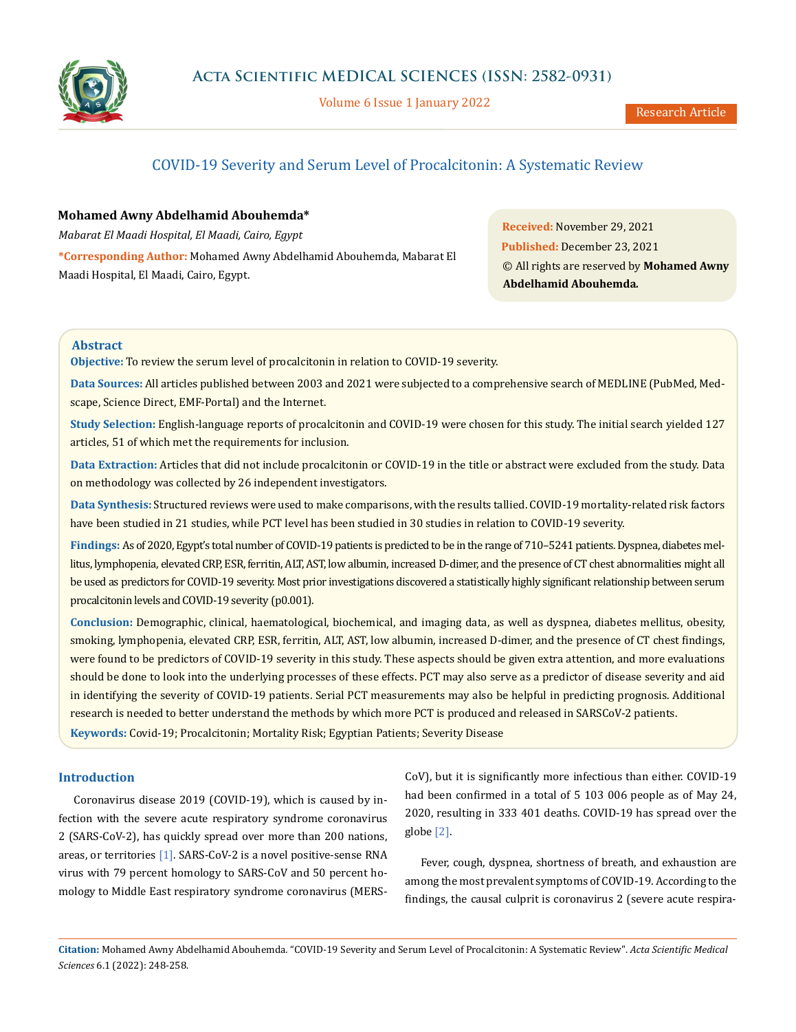

Volume 6 Issue 1 January 2022

# COVID-19 Severity and Serum Level of Procalcitonin: A Systematic Review

## **Mohamed Awny Abdelhamid Abouhemda\***

*Mabarat El Maadi Hospital, El Maadi, Cairo, Egypt*

**\*Corresponding Author:** Mohamed Awny Abdelhamid Abouhemda, Mabarat El Maadi Hospital, El Maadi, Cairo, Egypt.

**Received:** November 29, 2021 **Published:** December 23, 2021 © All rights are reserved by **Mohamed Awny Abdelhamid Abouhemda***.*

## **Abstract**

**Objective:** To review the serum level of procalcitonin in relation to COVID-19 severity.

**Data Sources:** All articles published between 2003 and 2021 were subjected to a comprehensive search of MEDLINE (PubMed, Medscape, Science Direct, EMF-Portal) and the Internet.

**Study Selection:** English-language reports of procalcitonin and COVID-19 were chosen for this study. The initial search yielded 127 articles, 51 of which met the requirements for inclusion.

**Data Extraction:** Articles that did not include procalcitonin or COVID-19 in the title or abstract were excluded from the study. Data on methodology was collected by 26 independent investigators.

**Data Synthesis:** Structured reviews were used to make comparisons, with the results tallied. COVID-19 mortality-related risk factors have been studied in 21 studies, while PCT level has been studied in 30 studies in relation to COVID-19 severity.

**Findings:** As of 2020, Egypt's total number of COVID-19 patients is predicted to be in the range of 710–5241 patients. Dyspnea, diabetes mellitus, lymphopenia, elevated CRP, ESR, ferritin, ALT, AST, low albumin, increased D-dimer, and the presence of CT chest abnormalities might all be used as predictors for COVID-19 severity. Most prior investigations discovered a statistically highly significant relationship between serum procalcitonin levels and COVID-19 severity (p0.001).

**Conclusion:** Demographic, clinical, haematological, biochemical, and imaging data, as well as dyspnea, diabetes mellitus, obesity, smoking, lymphopenia, elevated CRP, ESR, ferritin, ALT, AST, low albumin, increased D-dimer, and the presence of CT chest findings, were found to be predictors of COVID-19 severity in this study. These aspects should be given extra attention, and more evaluations should be done to look into the underlying processes of these effects. PCT may also serve as a predictor of disease severity and aid in identifying the severity of COVID-19 patients. Serial PCT measurements may also be helpful in predicting prognosis. Additional research is needed to better understand the methods by which more PCT is produced and released in SARSCoV-2 patients.

**Keywords:** Covid-19; Procalcitonin; Mortality Risk; Egyptian Patients; Severity Disease

## **Introduction**

Coronavirus disease 2019 (COVID-19), which is caused by infection with the severe acute respiratory syndrome coronavirus 2 (SARS-CoV-2), has quickly spread over more than 200 nations, areas, or territories [1]. SARS-CoV-2 is a novel positive-sense RNA virus with 79 percent homology to SARS-CoV and 50 percent homology to Middle East respiratory syndrome coronavirus (MERS-

CoV), but it is significantly more infectious than either. COVID-19 had been confirmed in a total of 5 103 006 people as of May 24, 2020, resulting in 333 401 deaths. COVID-19 has spread over the globe [2].

Fever, cough, dyspnea, shortness of breath, and exhaustion are among the most prevalent symptoms of COVID-19. According to the findings, the causal culprit is coronavirus 2 (severe acute respira-

**Citation:** Mohamed Awny Abdelhamid Abouhemda*.* "COVID-19 Severity and Serum Level of Procalcitonin: A Systematic Review". *Acta Scientific Medical Sciences* 6.1 (2022): 248-258.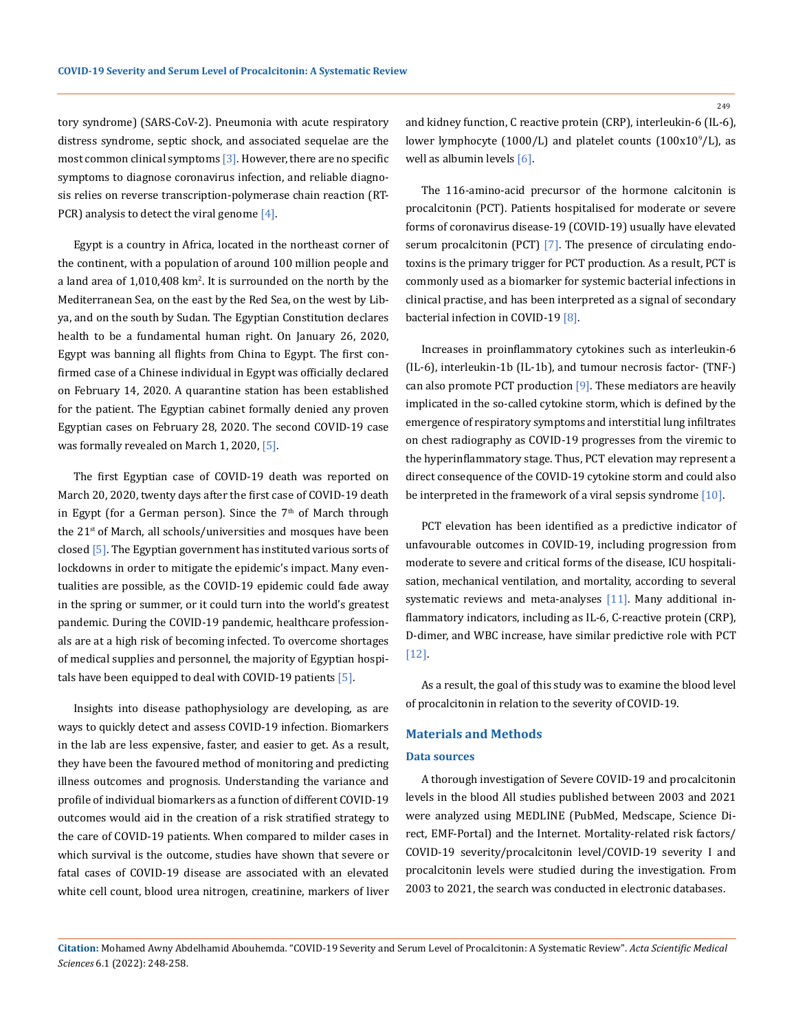tory syndrome) (SARS-CoV-2). Pneumonia with acute respiratory distress syndrome, septic shock, and associated sequelae are the most common clinical symptoms  $[3]$ . However, there are no specific symptoms to diagnose coronavirus infection, and reliable diagnosis relies on reverse transcription-polymerase chain reaction (RT-PCR) analysis to detect the viral genome  $[4]$ .

Egypt is a country in Africa, located in the northeast corner of the continent, with a population of around 100 million people and a land area of 1,010,408 km<sup>2</sup>. It is surrounded on the north by the Mediterranean Sea, on the east by the Red Sea, on the west by Libya, and on the south by Sudan. The Egyptian Constitution declares health to be a fundamental human right. On January 26, 2020, Egypt was banning all flights from China to Egypt. The first confirmed case of a Chinese individual in Egypt was officially declared on February 14, 2020. A quarantine station has been established for the patient. The Egyptian cabinet formally denied any proven Egyptian cases on February 28, 2020. The second COVID-19 case was formally revealed on March 1, 2020, [5].

The first Egyptian case of COVID-19 death was reported on March 20, 2020, twenty days after the first case of COVID-19 death in Egypt (for a German person). Since the  $7<sup>th</sup>$  of March through the 21<sup>st</sup> of March, all schools/universities and mosques have been closed [5]. The Egyptian government has instituted various sorts of lockdowns in order to mitigate the epidemic's impact. Many eventualities are possible, as the COVID-19 epidemic could fade away in the spring or summer, or it could turn into the world's greatest pandemic. During the COVID-19 pandemic, healthcare professionals are at a high risk of becoming infected. To overcome shortages of medical supplies and personnel, the majority of Egyptian hospitals have been equipped to deal with COVID-19 patients [5].

Insights into disease pathophysiology are developing, as are ways to quickly detect and assess COVID-19 infection. Biomarkers in the lab are less expensive, faster, and easier to get. As a result, they have been the favoured method of monitoring and predicting illness outcomes and prognosis. Understanding the variance and profile of individual biomarkers as a function of different COVID-19 outcomes would aid in the creation of a risk stratified strategy to the care of COVID-19 patients. When compared to milder cases in which survival is the outcome, studies have shown that severe or fatal cases of COVID-19 disease are associated with an elevated white cell count, blood urea nitrogen, creatinine, markers of liver and kidney function, C reactive protein (CRP), interleukin-6 (IL-6), lower lymphocyte (1000/L) and platelet counts (100x10 $^{\circ}$ /L), as well as albumin levels [6].

The 116-amino-acid precursor of the hormone calcitonin is procalcitonin (PCT). Patients hospitalised for moderate or severe forms of coronavirus disease-19 (COVID-19) usually have elevated serum procalcitonin (PCT) [7]. The presence of circulating endotoxins is the primary trigger for PCT production. As a result, PCT is commonly used as a biomarker for systemic bacterial infections in clinical practise, and has been interpreted as a signal of secondary bacterial infection in COVID-19 [8].

Increases in proinflammatory cytokines such as interleukin-6 (IL-6), interleukin-1b (IL-1b), and tumour necrosis factor- (TNF-) can also promote PCT production [9]. These mediators are heavily implicated in the so-called cytokine storm, which is defined by the emergence of respiratory symptoms and interstitial lung infiltrates on chest radiography as COVID-19 progresses from the viremic to the hyperinflammatory stage. Thus, PCT elevation may represent a direct consequence of the COVID-19 cytokine storm and could also be interpreted in the framework of a viral sepsis syndrome  $[10]$ .

PCT elevation has been identified as a predictive indicator of unfavourable outcomes in COVID-19, including progression from moderate to severe and critical forms of the disease, ICU hospitalisation, mechanical ventilation, and mortality, according to several systematic reviews and meta-analyses  $[11]$ . Many additional inflammatory indicators, including as IL-6, C-reactive protein (CRP), D-dimer, and WBC increase, have similar predictive role with PCT [12].

As a result, the goal of this study was to examine the blood level of procalcitonin in relation to the severity of COVID-19.

## **Materials and Methods**

#### **Data sources**

A thorough investigation of Severe COVID-19 and procalcitonin levels in the blood All studies published between 2003 and 2021 were analyzed using MEDLINE (PubMed, Medscape, Science Direct, EMF-Portal) and the Internet. Mortality-related risk factors/ COVID-19 severity/procalcitonin level/COVID-19 severity I and procalcitonin levels were studied during the investigation. From 2003 to 2021, the search was conducted in electronic databases.

**Citation:** Mohamed Awny Abdelhamid Abouhemda*.* "COVID-19 Severity and Serum Level of Procalcitonin: A Systematic Review". *Acta Scientific Medical Sciences* 6.1 (2022): 248-258.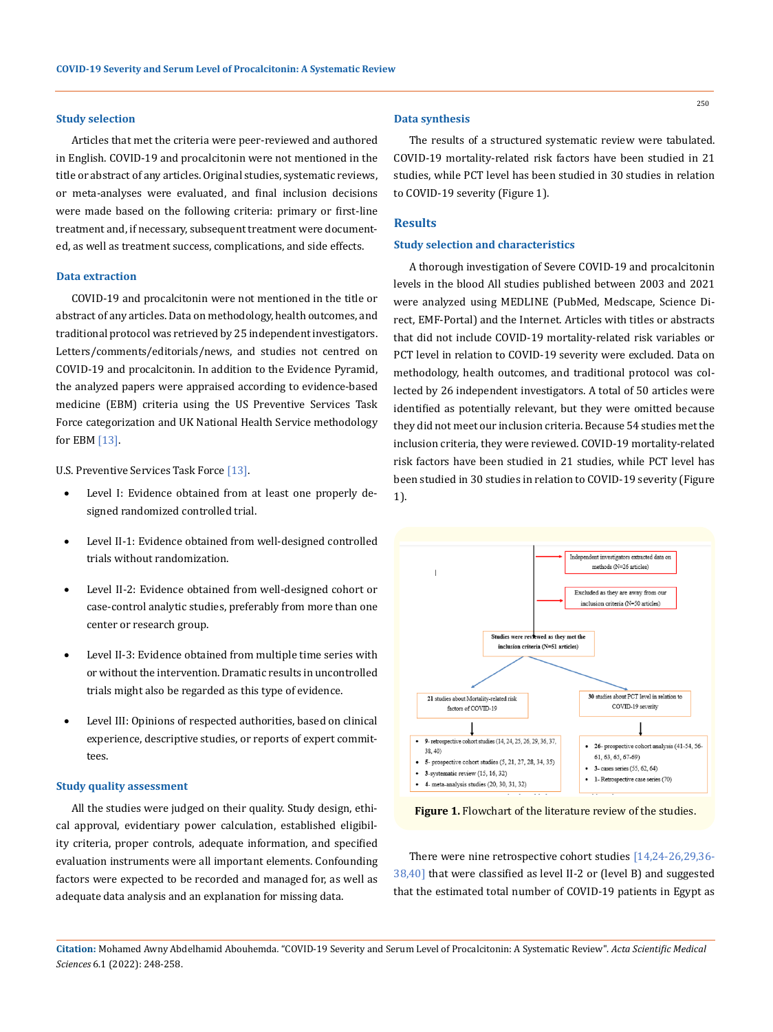#### **Study selection**

Articles that met the criteria were peer-reviewed and authored in English. COVID-19 and procalcitonin were not mentioned in the title or abstract of any articles. Original studies, systematic reviews, or meta-analyses were evaluated, and final inclusion decisions were made based on the following criteria: primary or first-line treatment and, if necessary, subsequent treatment were documented, as well as treatment success, complications, and side effects.

#### **Data extraction**

COVID-19 and procalcitonin were not mentioned in the title or abstract of any articles. Data on methodology, health outcomes, and traditional protocol was retrieved by 25 independent investigators. Letters/comments/editorials/news, and studies not centred on COVID-19 and procalcitonin. In addition to the Evidence Pyramid, the analyzed papers were appraised according to evidence-based medicine (EBM) criteria using the US Preventive Services Task Force categorization and UK National Health Service methodology for EBM [13].

[U.S. Preventive Services Task Force](http://en.wikipedia.org/wiki/US_Preventive_Services_Task_Force) [13].

- Level I: Evidence obtained from at least one properly designed [randomized controlled trial.](http://en.wikipedia.org/wiki/Randomized_controlled_trial)
- Level II-1: Evidence obtained from well-designed controlled trials without [randomization](http://en.wikipedia.org/wiki/Randomization).
- Level II-2: Evidence obtained from well-designed [cohort](http://en.wikipedia.org/wiki/Cohort_study) or [case-control](http://en.wikipedia.org/wiki/Case-control) analytic studies, preferably from more than one center or research group.
- Level II-3: Evidence obtained from multiple time series with or without the intervention. Dramatic results in uncontrolled trials might also be regarded as this type of evidence.
- Level III: Opinions of respected authorities, based on clinical experience, descriptive studies, or reports of expert committees.

#### **Study quality assessment**

All the studies were judged on their quality. Study design, ethical approval, evidentiary power calculation, established eligibility criteria, proper controls, adequate information, and specified evaluation instruments were all important elements. Confounding factors were expected to be recorded and managed for, as well as adequate data analysis and an explanation for missing data.

### **Data synthesis**

The results of a structured systematic review were tabulated. COVID-19 mortality-related risk factors have been studied in 21 studies, while PCT level has been studied in 30 studies in relation to COVID-19 severity (Figure 1).

#### **Results**

### **Study selection and characteristics**

A thorough investigation of Severe COVID-19 and procalcitonin levels in the blood All studies published between 2003 and 2021 were analyzed using MEDLINE (PubMed, Medscape, Science Direct, EMF-Portal) and the Internet. Articles with titles or abstracts that did not include COVID-19 mortality-related risk variables or PCT level in relation to COVID-19 severity were excluded. Data on methodology, health outcomes, and traditional protocol was collected by 26 independent investigators. A total of 50 articles were identified as potentially relevant, but they were omitted because they did not meet our inclusion criteria. Because 54 studies met the inclusion criteria, they were reviewed. COVID-19 mortality-related risk factors have been studied in 21 studies, while PCT level has been studied in 30 studies in relation to COVID-19 severity (Figure 1).



Figure 1. Flowchart of the literature review of the studies.

There were nine retrospective cohort studies [14,24-26,29,36- 38,40] that were classified as level II-2 or (level B) and suggested that the estimated total number of COVID-19 patients in Egypt as

**Citation:** Mohamed Awny Abdelhamid Abouhemda*.* "COVID-19 Severity and Serum Level of Procalcitonin: A Systematic Review". *Acta Scientific Medical Sciences* 6.1 (2022): 248-258.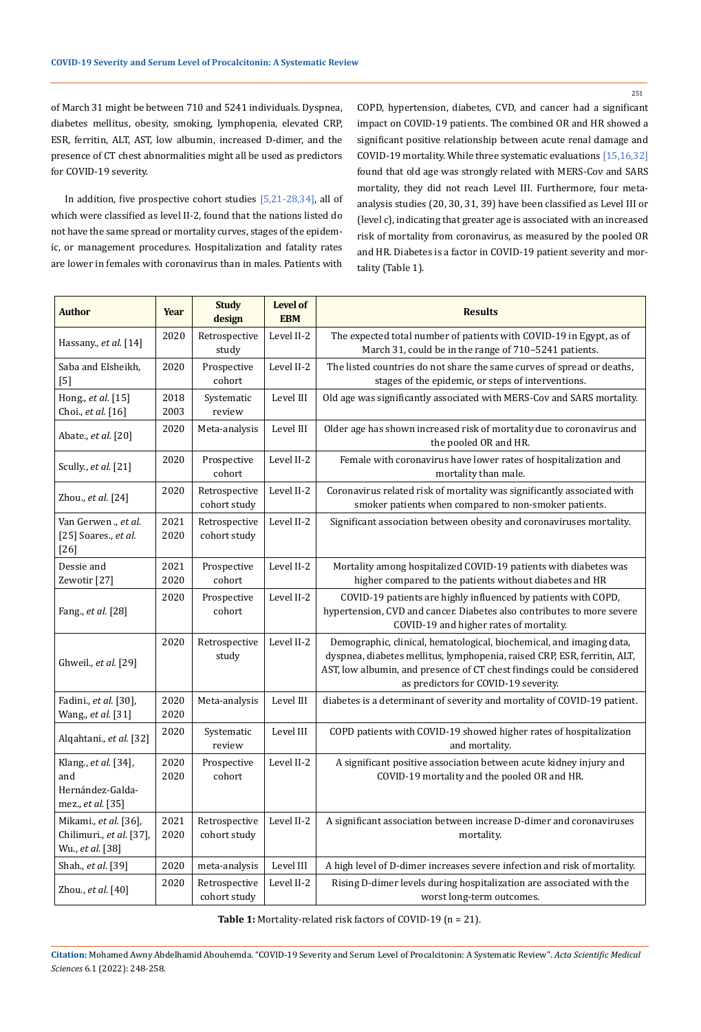of March 31 might be between 710 and 5241 individuals. Dyspnea, diabetes mellitus, obesity, smoking, lymphopenia, elevated CRP, ESR, ferritin, ALT, AST, low albumin, increased D-dimer, and the presence of CT chest abnormalities might all be used as predictors for COVID-19 severity.

In addition, five prospective cohort studies [5,21-28,34], all of which were classified as level II-2, found that the nations listed do not have the same spread or mortality curves, stages of the epidemic, or management procedures. Hospitalization and fatality rates are lower in females with coronavirus than in males. Patients with

COPD, hypertension, diabetes, CVD, and cancer had a significant impact on COVID-19 patients. The combined OR and HR showed a significant positive relationship between acute renal damage and COVID-19 mortality. While three systematic evaluations [15,16,32] found that old age was strongly related with MERS-Cov and SARS mortality, they did not reach Level III. Furthermore, four metaanalysis studies (20, 30, 31, 39) have been classified as Level III or (level c), indicating that greater age is associated with an increased risk of mortality from coronavirus, as measured by the pooled OR and HR. Diabetes is a factor in COVID-19 patient severity and mortality (Table 1).

| <b>Author</b>                                                         | <b>Year</b>  | <b>Study</b><br>design        | <b>Level of</b><br><b>EBM</b> | <b>Results</b>                                                                                                                                                                                                                                                      |  |
|-----------------------------------------------------------------------|--------------|-------------------------------|-------------------------------|---------------------------------------------------------------------------------------------------------------------------------------------------------------------------------------------------------------------------------------------------------------------|--|
| Hassany., et al. [14]                                                 | 2020         | Retrospective<br>study        | Level II-2                    | The expected total number of patients with COVID-19 in Egypt, as of<br>March 31, could be in the range of 710-5241 patients.                                                                                                                                        |  |
| Saba and Elsheikh,<br>$[5]$                                           | 2020         | Prospective<br>cohort         | Level II-2                    | The listed countries do not share the same curves of spread or deaths,<br>stages of the epidemic, or steps of interventions.                                                                                                                                        |  |
| Hong., et al. [15]<br>Choi., et al. [16]                              | 2018<br>2003 | Systematic<br>review          | Level III                     | Old age was significantly associated with MERS-Cov and SARS mortality.                                                                                                                                                                                              |  |
| Abate., et al. [20]                                                   | 2020         | Meta-analysis                 | Level III                     | Older age has shown increased risk of mortality due to coronavirus and<br>the pooled OR and HR.                                                                                                                                                                     |  |
| Scully., et al. [21]                                                  | 2020         | Prospective<br>cohort         | Level II-2                    | Female with coronavirus have lower rates of hospitalization and<br>mortality than male.                                                                                                                                                                             |  |
| Zhou., et al. [24]                                                    | 2020         | Retrospective<br>cohort study | Level II-2                    | Coronavirus related risk of mortality was significantly associated with<br>smoker patients when compared to non-smoker patients.                                                                                                                                    |  |
| Van Gerwen ., et al.<br>[25] Soares., et al.<br>$[26]$                | 2021<br>2020 | Retrospective<br>cohort study | Level II-2                    | Significant association between obesity and coronaviruses mortality.                                                                                                                                                                                                |  |
| Dessie and<br>Zewotir [27]                                            | 2021<br>2020 | Prospective<br>cohort         | Level II-2                    | Mortality among hospitalized COVID-19 patients with diabetes was<br>higher compared to the patients without diabetes and HR                                                                                                                                         |  |
| Fang., et al. [28]                                                    | 2020         | Prospective<br>cohort         | Level II-2                    | COVID-19 patients are highly influenced by patients with COPD,<br>hypertension, CVD and cancer. Diabetes also contributes to more severe<br>COVID-19 and higher rates of mortality.                                                                                 |  |
| Ghweil., et al. [29]                                                  | 2020         | Retrospective<br>study        | Level II-2                    | Demographic, clinical, hematological, biochemical, and imaging data,<br>dyspnea, diabetes mellitus, lymphopenia, raised CRP, ESR, ferritin, ALT,<br>AST, low albumin, and presence of CT chest findings could be considered<br>as predictors for COVID-19 severity. |  |
| Fadini., et al. [30],<br>Wang., et al. [31]                           | 2020<br>2020 | Meta-analysis                 | Level III                     | diabetes is a determinant of severity and mortality of COVID-19 patient.                                                                                                                                                                                            |  |
| Alqahtani., et al. [32]                                               | 2020         | Systematic<br>review          | Level III                     | COPD patients with COVID-19 showed higher rates of hospitalization<br>and mortality.                                                                                                                                                                                |  |
| Klang., et al. [34],<br>and<br>Hernández-Galda-<br>mez., et al. [35]  | 2020<br>2020 | Prospective<br>cohort         | Level II-2                    | A significant positive association between acute kidney injury and<br>COVID-19 mortality and the pooled OR and HR.                                                                                                                                                  |  |
| Mikami., et al. [36],<br>Chilimuri., et al. [37],<br>Wu., et al. [38] | 2021<br>2020 | Retrospective<br>cohort study | Level II-2                    | A significant association between increase D-dimer and coronaviruses<br>mortality.                                                                                                                                                                                  |  |
| Shah., et al. [39]                                                    | 2020         | meta-analysis                 | Level III                     | A high level of D-dimer increases severe infection and risk of mortality.                                                                                                                                                                                           |  |
| Zhou., et al. [40]                                                    | 2020         | Retrospective<br>cohort study | Level II-2                    | Rising D-dimer levels during hospitalization are associated with the<br>worst long-term outcomes.                                                                                                                                                                   |  |

**Table 1:** Mortality-related risk factors of COVID-19 (n = 21).

**Citation:** Mohamed Awny Abdelhamid Abouhemda*.* "COVID-19 Severity and Serum Level of Procalcitonin: A Systematic Review". *Acta Scientific Medical Sciences* 6.1 (2022): 248-258.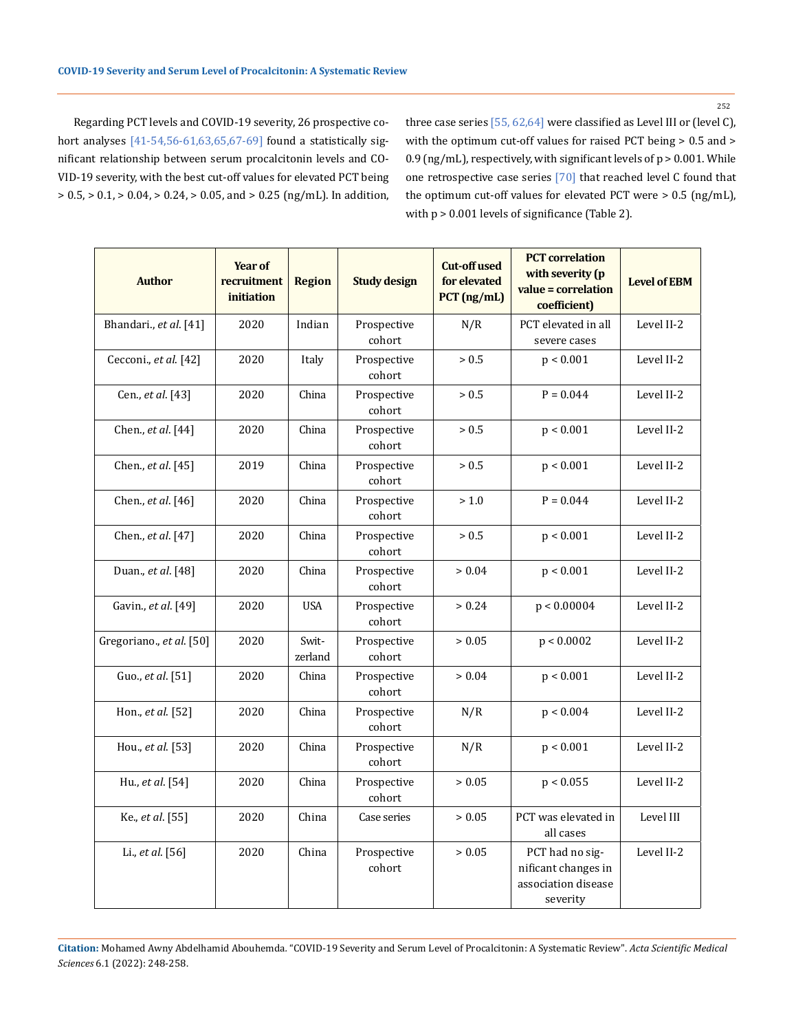252

Regarding PCT levels and COVID-19 severity, 26 prospective cohort analyses [41-54,56-61,63,65,67-69] found a statistically significant relationship between serum procalcitonin levels and CO-VID-19 severity, with the best cut-off values for elevated PCT being  $> 0.5,$   $> 0.1,$   $> 0.04,$   $> 0.24,$   $> 0.05,$  and  $> 0.25$  (ng/mL). In addition, three case series [55, 62,64] were classified as Level III or (level C), with the optimum cut-off values for raised PCT being > 0.5 and > 0.9 (ng/mL), respectively, with significant levels of  $p > 0.001$ . While one retrospective case series [70] that reached level C found that the optimum cut-off values for elevated PCT were > 0.5 (ng/mL), with p > 0.001 levels of significance (Table 2).

| <b>Author</b>             | Year of<br>recruitment<br>initiation | <b>Region</b>    | <b>Study design</b>   | <b>Cut-off used</b><br>for elevated<br>$PCT$ (ng/mL) | <b>PCT</b> correlation<br>with severity (p<br>value = correlation<br>coefficient) | <b>Level of EBM</b> |
|---------------------------|--------------------------------------|------------------|-----------------------|------------------------------------------------------|-----------------------------------------------------------------------------------|---------------------|
| Bhandari., et al. [41]    | 2020                                 | Indian           | Prospective<br>cohort | N/R                                                  | PCT elevated in all<br>severe cases                                               | Level II-2          |
| Cecconi., et al. [42]     | 2020                                 | Italy            | Prospective<br>cohort | > 0.5                                                | p < 0.001                                                                         | Level II-2          |
| Cen., et al. [43]         | 2020                                 | China            | Prospective<br>cohort | > 0.5                                                | $P = 0.044$                                                                       | Level II-2          |
| Chen., et al. [44]        | 2020                                 | China            | Prospective<br>cohort | > 0.5                                                | p < 0.001                                                                         | Level II-2          |
| Chen., <i>et al.</i> [45] | 2019                                 | China            | Prospective<br>cohort | > 0.5                                                | p < 0.001                                                                         | Level II-2          |
| Chen., et al. [46]        | 2020                                 | China            | Prospective<br>cohort | > 1.0                                                | $P = 0.044$                                                                       | Level II-2          |
| Chen., et al. [47]        | 2020                                 | China            | Prospective<br>cohort | > 0.5                                                | p < 0.001                                                                         | Level II-2          |
| Duan., et al. [48]        | 2020                                 | China            | Prospective<br>cohort | > 0.04                                               | p < 0.001                                                                         | Level II-2          |
| Gavin., et al. [49]       | 2020                                 | <b>USA</b>       | Prospective<br>cohort | > 0.24                                               | p < 0.00004                                                                       | Level II-2          |
| Gregoriano., et al. [50]  | 2020                                 | Swit-<br>zerland | Prospective<br>cohort | > 0.05                                               | p < 0.0002                                                                        | Level II-2          |
| Guo., et al. [51]         | 2020                                 | China            | Prospective<br>cohort | > 0.04                                               | p < 0.001                                                                         | Level II-2          |
| Hon., et al. [52]         | 2020                                 | China            | Prospective<br>cohort | N/R                                                  | p < 0.004                                                                         | Level II-2          |
| Hou., et al. [53]         | 2020                                 | China            | Prospective<br>cohort | N/R                                                  | p < 0.001                                                                         | Level II-2          |
| Hu., et al. [54]          | 2020                                 | China            | Prospective<br>cohort | > 0.05                                               | p < 0.055                                                                         | Level II-2          |
| Ke., et al. [55]          | 2020                                 | China            | Case series           | > 0.05                                               | PCT was elevated in<br>all cases                                                  | Level III           |
| Li., et al. [56]          | 2020                                 | China            | Prospective<br>cohort | > 0.05                                               | PCT had no sig-<br>nificant changes in<br>association disease<br>severity         | Level II-2          |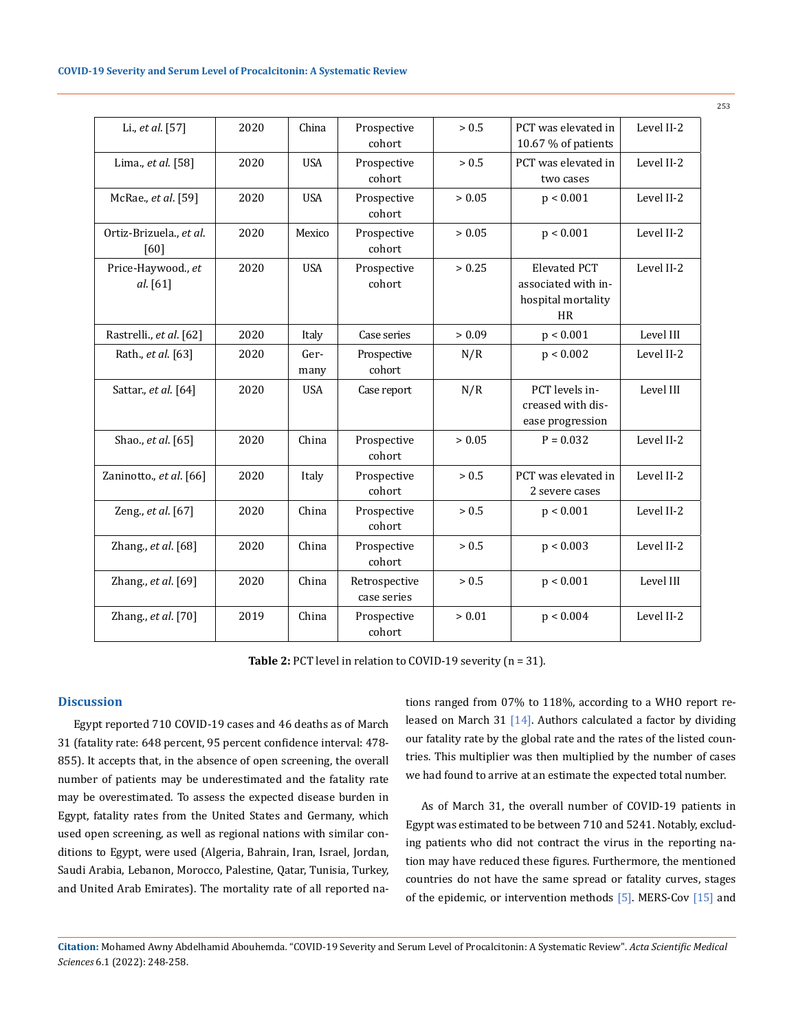| Li., et al. [57]                | 2020 | China        | Prospective<br>cohort        | > 0.5  | PCT was elevated in<br>10.67 % of patients                                    | Level II-2 |
|---------------------------------|------|--------------|------------------------------|--------|-------------------------------------------------------------------------------|------------|
| Lima., et al. [58]              | 2020 | <b>USA</b>   | Prospective<br>cohort        | > 0.5  | PCT was elevated in<br>two cases                                              | Level II-2 |
| McRae., et al. [59]             | 2020 | <b>USA</b>   | Prospective<br>cohort        | > 0.05 | p < 0.001                                                                     | Level II-2 |
| Ortiz-Brizuela., et al.<br>[60] | 2020 | Mexico       | Prospective<br>cohort        | > 0.05 | p < 0.001                                                                     | Level II-2 |
| Price-Haywood., et<br>al. [61]  | 2020 | <b>USA</b>   | Prospective<br>cohort        | > 0.25 | <b>Elevated PCT</b><br>associated with in-<br>hospital mortality<br><b>HR</b> | Level II-2 |
| Rastrelli., et al. [62]         | 2020 | Italy        | Case series                  | > 0.09 | p < 0.001                                                                     | Level III  |
| Rath., et al. [63]              | 2020 | Ger-<br>many | Prospective<br>cohort        | N/R    | p < 0.002                                                                     | Level II-2 |
| Sattar., et al. [64]            | 2020 | <b>USA</b>   | Case report                  | N/R    | PCT levels in-<br>creased with dis-<br>ease progression                       | Level III  |
| Shao., et al. [65]              | 2020 | China        | Prospective<br>cohort        | > 0.05 | $P = 0.032$                                                                   | Level II-2 |
| Zaninotto., et al. [66]         | 2020 | Italy        | Prospective<br>cohort        | > 0.5  | PCT was elevated in<br>2 severe cases                                         | Level II-2 |
| Zeng., et al. [67]              | 2020 | China        | Prospective<br>cohort        | > 0.5  | p < 0.001                                                                     | Level II-2 |
| Zhang., et al. [68]             | 2020 | China        | Prospective<br>cohort        | > 0.5  | p < 0.003                                                                     | Level II-2 |
| Zhang., et al. [69]             | 2020 | China        | Retrospective<br>case series | > 0.5  | p < 0.001                                                                     | Level III  |
| Zhang., et al. [70]             | 2019 | China        | Prospective<br>cohort        | > 0.01 | p < 0.004                                                                     | Level II-2 |

Table 2: PCT level in relation to COVID-19 severity (n = 31).

## **Discussion**

Egypt reported 710 COVID-19 cases and 46 deaths as of March 31 (fatality rate: 648 percent, 95 percent confidence interval: 478- 855). It accepts that, in the absence of open screening, the overall number of patients may be underestimated and the fatality rate may be overestimated. To assess the expected disease burden in Egypt, fatality rates from the United States and Germany, which used open screening, as well as regional nations with similar conditions to Egypt, were used (Algeria, Bahrain, Iran, Israel, Jordan, Saudi Arabia, Lebanon, Morocco, Palestine, Qatar, Tunisia, Turkey, and United Arab Emirates). The mortality rate of all reported nations ranged from 07% to 118%, according to a WHO report released on March 31 [14]. Authors calculated a factor by dividing our fatality rate by the global rate and the rates of the listed countries. This multiplier was then multiplied by the number of cases we had found to arrive at an estimate the expected total number.

As of March 31, the overall number of COVID-19 patients in Egypt was estimated to be between 710 and 5241. Notably, excluding patients who did not contract the virus in the reporting nation may have reduced these figures. Furthermore, the mentioned countries do not have the same spread or fatality curves, stages of the epidemic, or intervention methods [5]. MERS-Cov [15] and

**Citation:** Mohamed Awny Abdelhamid Abouhemda*.* "COVID-19 Severity and Serum Level of Procalcitonin: A Systematic Review". *Acta Scientific Medical Sciences* 6.1 (2022): 248-258.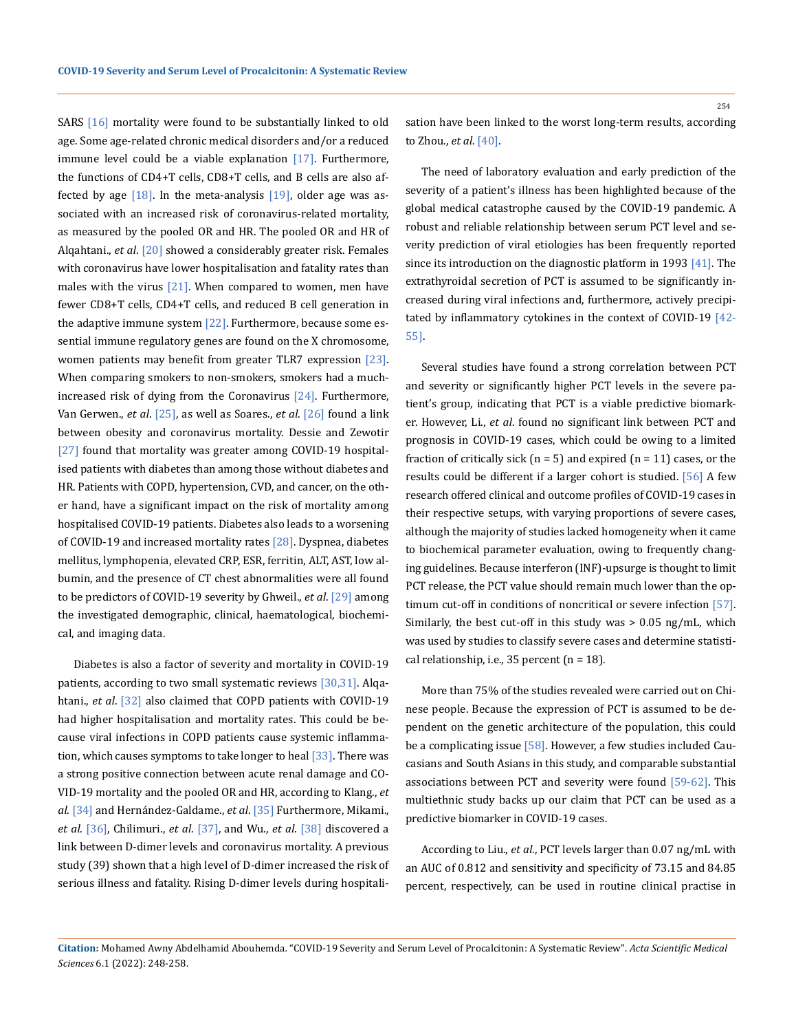SARS [16] mortality were found to be substantially linked to old age. Some age-related chronic medical disorders and/or a reduced immune level could be a viable explanation  $[17]$ . Furthermore, the functions of CD4+T cells, CD8+T cells, and B cells are also affected by age  $[18]$ . In the meta-analysis  $[19]$ , older age was associated with an increased risk of coronavirus-related mortality, as measured by the pooled OR and HR. The pooled OR and HR of Alqahtani., *et al*. [20] showed a considerably greater risk. Females with coronavirus have lower hospitalisation and fatality rates than males with the virus  $[21]$ . When compared to women, men have fewer CD8+T cells, CD4+T cells, and reduced B cell generation in the adaptive immune system  $[22]$ . Furthermore, because some essential immune regulatory genes are found on the X chromosome, women patients may benefit from greater TLR7 expression [23]. When comparing smokers to non-smokers, smokers had a muchincreased risk of dying from the Coronavirus [24]. Furthermore, Van Gerwen., *et al*. [25], as well as Soares., *et al*. [26] found a link between obesity and coronavirus mortality. Dessie and Zewotir [27] found that mortality was greater among COVID-19 hospitalised patients with diabetes than among those without diabetes and HR. Patients with COPD, hypertension, CVD, and cancer, on the other hand, have a significant impact on the risk of mortality among hospitalised COVID-19 patients. Diabetes also leads to a worsening of COVID-19 and increased mortality rates [28]. Dyspnea, diabetes mellitus, lymphopenia, elevated CRP, ESR, ferritin, ALT, AST, low albumin, and the presence of CT chest abnormalities were all found to be predictors of COVID-19 severity by Ghweil., *et al*. [29] among the investigated demographic, clinical, haematological, biochemical, and imaging data.

Diabetes is also a factor of severity and mortality in COVID-19 patients, according to two small systematic reviews [30,31]. Alqahtani., *et al*. [32] also claimed that COPD patients with COVID-19 had higher hospitalisation and mortality rates. This could be because viral infections in COPD patients cause systemic inflammation, which causes symptoms to take longer to heal [33]. There was a strong positive connection between acute renal damage and CO-VID-19 mortality and the pooled OR and HR, according to Klang., *et al*. [34] and Hernández-Galdame., *et al*. [35] Furthermore, Mikami., *et al*. [36], Chilimuri., *et al*. [37], and Wu., *et al*. [38] discovered a link between D-dimer levels and coronavirus mortality. A previous study (39) shown that a high level of D-dimer increased the risk of serious illness and fatality. Rising D-dimer levels during hospitalisation have been linked to the worst long-term results, according to Zhou., *et al*. [40].

The need of laboratory evaluation and early prediction of the severity of a patient's illness has been highlighted because of the global medical catastrophe caused by the COVID-19 pandemic. A robust and reliable relationship between serum PCT level and severity prediction of viral etiologies has been frequently reported since its introduction on the diagnostic platform in 1993 [41]. The extrathyroidal secretion of PCT is assumed to be significantly increased during viral infections and, furthermore, actively precipitated by inflammatory cytokines in the context of COVID-19 [42-55].

Several studies have found a strong correlation between PCT and severity or significantly higher PCT levels in the severe patient's group, indicating that PCT is a viable predictive biomarker. However, Li., *et al*. found no significant link between PCT and prognosis in COVID-19 cases, which could be owing to a limited fraction of critically sick ( $n = 5$ ) and expired ( $n = 11$ ) cases, or the results could be different if a larger cohort is studied. [56] A few research offered clinical and outcome profiles of COVID-19 cases in their respective setups, with varying proportions of severe cases, although the majority of studies lacked homogeneity when it came to biochemical parameter evaluation, owing to frequently changing guidelines. Because interferon (INF)-upsurge is thought to limit PCT release, the PCT value should remain much lower than the optimum cut-off in conditions of noncritical or severe infection [57]. Similarly, the best cut-off in this study was > 0.05 ng/mL, which was used by studies to classify severe cases and determine statistical relationship, i.e., 35 percent (n = 18).

More than 75% of the studies revealed were carried out on Chinese people. Because the expression of PCT is assumed to be dependent on the genetic architecture of the population, this could be a complicating issue [58]. However, a few studies included Caucasians and South Asians in this study, and comparable substantial associations between PCT and severity were found [59-62]. This multiethnic study backs up our claim that PCT can be used as a predictive biomarker in COVID-19 cases.

According to Liu., *et al*., PCT levels larger than 0.07 ng/mL with an AUC of 0.812 and sensitivity and specificity of 73.15 and 84.85 percent, respectively, can be used in routine clinical practise in

**Citation:** Mohamed Awny Abdelhamid Abouhemda*.* "COVID-19 Severity and Serum Level of Procalcitonin: A Systematic Review". *Acta Scientific Medical Sciences* 6.1 (2022): 248-258.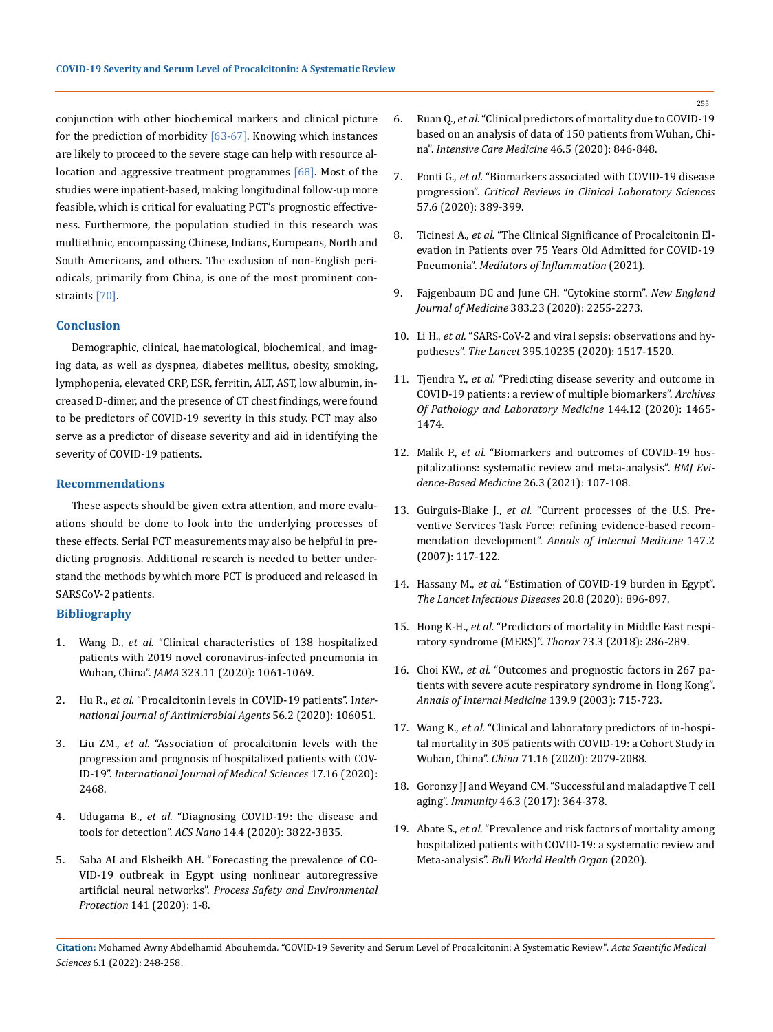conjunction with other biochemical markers and clinical picture for the prediction of morbidity  $[63-67]$ . Knowing which instances are likely to proceed to the severe stage can help with resource allocation and aggressive treatment programmes [68]. Most of the studies were inpatient-based, making longitudinal follow-up more feasible, which is critical for evaluating PCT's prognostic effectiveness. Furthermore, the population studied in this research was multiethnic, encompassing Chinese, Indians, Europeans, North and South Americans, and others. The exclusion of non-English periodicals, primarily from China, is one of the most prominent constraints [70].

#### **Conclusion**

Demographic, clinical, haematological, biochemical, and imaging data, as well as dyspnea, diabetes mellitus, obesity, smoking, lymphopenia, elevated CRP, ESR, ferritin, ALT, AST, low albumin, increased D-dimer, and the presence of CT chest findings, were found to be predictors of COVID-19 severity in this study. PCT may also serve as a predictor of disease severity and aid in identifying the severity of COVID-19 patients.

### **Recommendations**

These aspects should be given extra attention, and more evaluations should be done to look into the underlying processes of these effects. Serial PCT measurements may also be helpful in predicting prognosis. Additional research is needed to better understand the methods by which more PCT is produced and released in SARSCoV-2 patients.

## **Bibliography**

- 1. Wang D., *et al.* ["Clinical characteristics of 138 hospitalized](https://www.researchgate.net/publication/339112553_Clinical_Characteristics_of_138_Hospitalized_Patients_With_2019_Novel_Coronavirus-Infected_Pneumonia_in_Wuhan_China)  [patients with 2019 novel coronavirus-infected pneumonia in](https://www.researchgate.net/publication/339112553_Clinical_Characteristics_of_138_Hospitalized_Patients_With_2019_Novel_Coronavirus-Infected_Pneumonia_in_Wuhan_China)  Wuhan, China". *JAMA* [323.11 \(2020\): 1061-1069.](https://www.researchgate.net/publication/339112553_Clinical_Characteristics_of_138_Hospitalized_Patients_With_2019_Novel_Coronavirus-Infected_Pneumonia_in_Wuhan_China)
- 2. Hu R., *et al.* ["Procalcitonin levels in COVID-19 patients". I](https://www.ncbi.nlm.nih.gov/pmc/articles/PMC7286278/)*nter[national Journal of Antimicrobial Agents](https://www.ncbi.nlm.nih.gov/pmc/articles/PMC7286278/)* 56.2 (2020): 106051.
- 3. Liu ZM., *et al.* ["Association of procalcitonin levels with the](https://www.ncbi.nlm.nih.gov/pmc/articles/PMC7532477/)  [progression and prognosis of hospitalized patients with COV-](https://www.ncbi.nlm.nih.gov/pmc/articles/PMC7532477/)ID-19". *[International Journal of Medical Sciences](https://www.ncbi.nlm.nih.gov/pmc/articles/PMC7532477/)* 17.16 (2020): [2468.](https://www.ncbi.nlm.nih.gov/pmc/articles/PMC7532477/)
- 4. Udugama B., *et al.* ["Diagnosing COVID-19: the disease and](https://pubs.acs.org/doi/10.1021/acsnano.0c02624)  tools for detection". *ACS Nano* [14.4 \(2020\): 3822-3835.](https://pubs.acs.org/doi/10.1021/acsnano.0c02624)
- 5. [Saba AI and Elsheikh AH. "Forecasting the prevalence of CO-](https://www.sciencedirect.com/science/article/pii/S0957582020310259)[VID-19 outbreak in Egypt using nonlinear autoregressive](https://www.sciencedirect.com/science/article/pii/S0957582020310259)  artificial neural networks". *[Process Safety and Environmental](https://www.sciencedirect.com/science/article/pii/S0957582020310259) Protection* [141 \(2020\): 1-8.](https://www.sciencedirect.com/science/article/pii/S0957582020310259)
- 6. Ruan Q., *et al.* ["Clinical predictors of mortality due to COVID-19](https://pubmed.ncbi.nlm.nih.gov/32125452/)  [based on an analysis of data of 150 patients from Wuhan, Chi](https://pubmed.ncbi.nlm.nih.gov/32125452/)na". *[Intensive Care Medicine](https://pubmed.ncbi.nlm.nih.gov/32125452/)* 46.5 (2020): 846-848.
- 7. Ponti G., *et al.* ["Biomarkers associated with COVID-19 disease](https://www.ncbi.nlm.nih.gov/pmc/articles/PMC7284147/)  progression". *Critical Reviews in [Clinical Laboratory Sciences](https://www.ncbi.nlm.nih.gov/pmc/articles/PMC7284147/)* [57.6 \(2020\): 389-399.](https://www.ncbi.nlm.nih.gov/pmc/articles/PMC7284147/)
- 8. Ticinesi A., *et al.* ["The Clinical Significance of Procalcitonin El](https://pubmed.ncbi.nlm.nih.gov/34326704/)[evation in Patients over 75 Years Old Admitted for COVID-19](https://pubmed.ncbi.nlm.nih.gov/34326704/)  Pneumonia". *[Mediators of Inflammation](https://pubmed.ncbi.nlm.nih.gov/34326704/)* (2021).
- 9. [Fajgenbaum DC and June CH. "Cytokine storm".](https://pubmed.ncbi.nlm.nih.gov/33264547/) *New England Journal of Medicine* [383.23 \(2020\): 2255-2273.](https://pubmed.ncbi.nlm.nih.gov/33264547/)
- 10. Li H., *et al.* ["SARS-CoV-2 and viral sepsis: observations and hy](https://pubmed.ncbi.nlm.nih.gov/32311318/)potheses". *The Lancet* [395.10235 \(2020\): 1517-1520.](https://pubmed.ncbi.nlm.nih.gov/32311318/)
- 11. Tjendra Y., *et al.* ["Predicting disease severity and outcome in](https://pubmed.ncbi.nlm.nih.gov/32818235/)  [COVID-19 patients: a review of multiple biomarkers".](https://pubmed.ncbi.nlm.nih.gov/32818235/) *Archives [Of Pathology and Laboratory Medicine](https://pubmed.ncbi.nlm.nih.gov/32818235/)* 144.12 (2020): 1465- [1474.](https://pubmed.ncbi.nlm.nih.gov/32818235/)
- 12. Malik P., *et al.* ["Biomarkers and outcomes of COVID-19 hos](https://pubmed.ncbi.nlm.nih.gov/32934000/)[pitalizations: systematic review and meta-analysis".](https://pubmed.ncbi.nlm.nih.gov/32934000/) *BMJ Evi[dence-Based Medicine](https://pubmed.ncbi.nlm.nih.gov/32934000/)* 26.3 (2021): 107-108.
- 13. Guirguis-Blake J., *et al.* ["Current processes of the U.S. Pre](https://pubmed.ncbi.nlm.nih.gov/17576998/)[ventive Services Task Force: refining evidence-based recom](https://pubmed.ncbi.nlm.nih.gov/17576998/)mendation development". *[Annals of Internal Medicine](https://pubmed.ncbi.nlm.nih.gov/17576998/)* 147.2 [\(2007\): 117-122.](https://pubmed.ncbi.nlm.nih.gov/17576998/)
- 14. Hassany M., *et al.* ["Estimation of COVID-19 burden in Egypt".](https://pubmed.ncbi.nlm.nih.gov/32353346/)  *[The Lancet Infectious Diseases](https://pubmed.ncbi.nlm.nih.gov/32353346/)* 20.8 (2020): 896-897.
- 15. Hong K-H., *et al.* ["Predictors of mortality in Middle East respi](https://pubmed.ncbi.nlm.nih.gov/28724637/)[ratory syndrome \(MERS\)".](https://pubmed.ncbi.nlm.nih.gov/28724637/) *Thorax* 73.3 (2018): 286-289.
- 16. Choi KW., *et al.* ["Outcomes and prognostic factors in 267 pa](https://pubmed.ncbi.nlm.nih.gov/14597455/)[tients with severe acute respiratory syndrome in Hong Kong".](https://pubmed.ncbi.nlm.nih.gov/14597455/)  *[Annals of Internal Medicine](https://pubmed.ncbi.nlm.nih.gov/14597455/)* 139.9 (2003): 715-723.
- 17. Wang K., *et al.* ["Clinical and laboratory predictors of in-hospi](https://pubmed.ncbi.nlm.nih.gov/32361723/)[tal mortality in 305 patients with COVID-19: a Cohort Study in](https://pubmed.ncbi.nlm.nih.gov/32361723/)  Wuhan, China". *China* [71.16 \(2020\): 2079-2088.](https://pubmed.ncbi.nlm.nih.gov/32361723/)
- 18. [Goronzy JJ and Weyand CM. "Successful and maladaptive T cell](https://pubmed.ncbi.nlm.nih.gov/28329703/)  aging". *Immunity* [46.3 \(2017\): 364-378.](https://pubmed.ncbi.nlm.nih.gov/28329703/)
- 19. Abate S., *et al.* ["Prevalence and risk factors of mortality among](https://www.who.int/bulletin/online_first/20-260737.pdf)  [hospitalized patients with COVID-19: a systematic review and](https://www.who.int/bulletin/online_first/20-260737.pdf)  Meta-analysis". *[Bull World Health Organ](https://www.who.int/bulletin/online_first/20-260737.pdf)* (2020).

**Citation:** Mohamed Awny Abdelhamid Abouhemda*.* "COVID-19 Severity and Serum Level of Procalcitonin: A Systematic Review". *Acta Scientific Medical Sciences* 6.1 (2022): 248-258.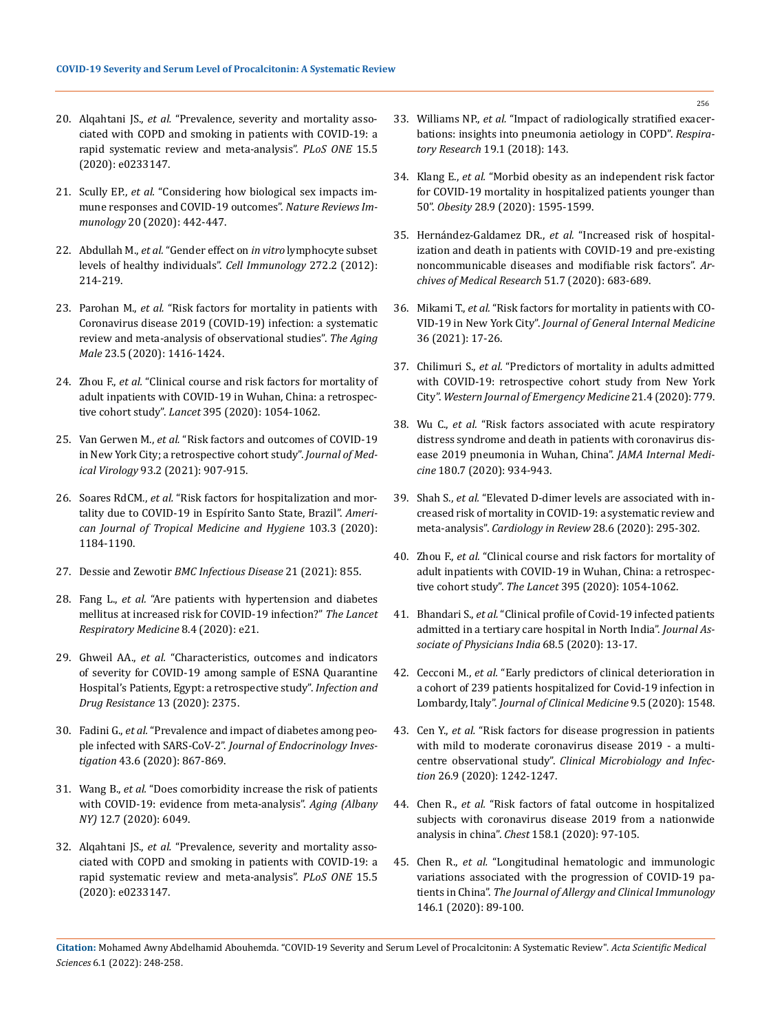- 20. Alqahtani JS., *et al.* ["Prevalence, severity and mortality asso](https://pubmed.ncbi.nlm.nih.gov/32392262/)[ciated with COPD and smoking in patients with COVID-19: a](https://pubmed.ncbi.nlm.nih.gov/32392262/)  [rapid systematic review and meta-analysis".](https://pubmed.ncbi.nlm.nih.gov/32392262/) *PLoS ONE* 15.5 [\(2020\): e0233147.](https://pubmed.ncbi.nlm.nih.gov/32392262/)
- 21. Scully EP., *et al.* ["Considering how biological sex impacts im](https://www.nature.com/articles/s41577-020-0348-8)[mune responses and COVID-19 outcomes".](https://www.nature.com/articles/s41577-020-0348-8) *Nature Reviews Immunology* [20 \(2020\): 442-447.](https://www.nature.com/articles/s41577-020-0348-8)
- 22. Abdullah M., *et al.* "Gender effect on *in vitro* [lymphocyte subset](https://pubmed.ncbi.nlm.nih.gov/22078320/)  [levels of healthy individuals".](https://pubmed.ncbi.nlm.nih.gov/22078320/) *Cell Immunology* 272.2 (2012): [214-219.](https://pubmed.ncbi.nlm.nih.gov/22078320/)
- 23. Parohan M., *et al.* ["Risk factors for mortality in patients with](https://pubmed.ncbi.nlm.nih.gov/32508193/)  [Coronavirus disease 2019 \(COVID-19\) infection: a systematic](https://pubmed.ncbi.nlm.nih.gov/32508193/)  [review and meta-analysis of observational studies".](https://pubmed.ncbi.nlm.nih.gov/32508193/) *The Aging Male* [23.5 \(2020\): 1416-1424.](https://pubmed.ncbi.nlm.nih.gov/32508193/)
- 24. Zhou F., *et al.* ["Clinical course and risk factors for mortality of](https://www.thelancet.com/journals/lancet/article/PIIS0140-6736(20)30566-3/fulltext)  [adult inpatients with COVID-19 in Wuhan, China: a retrospec](https://www.thelancet.com/journals/lancet/article/PIIS0140-6736(20)30566-3/fulltext)tive cohort study". *Lancet* [395 \(2020\): 1054-1062.](https://www.thelancet.com/journals/lancet/article/PIIS0140-6736(20)30566-3/fulltext)
- 25. Van Gerwen M., *et al.* ["Risk factors and outcomes of COVID-19](https://pubmed.ncbi.nlm.nih.gov/32706392/)  [in New York City; a retrospective cohort study".](https://pubmed.ncbi.nlm.nih.gov/32706392/) *Journal of Medical Virology* [93.2 \(2021\): 907-915.](https://pubmed.ncbi.nlm.nih.gov/32706392/)
- 26. Soares RdCM., *et al.* ["Risk factors for hospitalization and mor](https://pubmed.ncbi.nlm.nih.gov/32682453/)[tality due to COVID-19 in Espírito Santo State, Brazil".](https://pubmed.ncbi.nlm.nih.gov/32682453/) *Ameri[can Journal of Tropical Medicine and Hygiene](https://pubmed.ncbi.nlm.nih.gov/32682453/)* 103.3 (2020): [1184-1190.](https://pubmed.ncbi.nlm.nih.gov/32682453/)
- 27. Dessie and Zewotir *BMC Infectious Disease* 21 (2021): 855.
- 28. Fang L., *et al.* ["Are patients with hypertension and diabetes](https://www.thelancet.com/journals/lanres/article/PIIS2213-2600(20)30116-8/fulltext)  [mellitus at increased risk for COVID-19 infection?"](https://www.thelancet.com/journals/lanres/article/PIIS2213-2600(20)30116-8/fulltext) *The Lancet [Respiratory Medicine](https://www.thelancet.com/journals/lanres/article/PIIS2213-2600(20)30116-8/fulltext)* 8.4 (2020): e21.
- 29. Ghweil AA., *et al.* ["Characteristics, outcomes and indicators](https://www.ncbi.nlm.nih.gov/pmc/articles/PMC7381791/)  [of severity for COVID-19 among sample of ESNA Quarantine](https://www.ncbi.nlm.nih.gov/pmc/articles/PMC7381791/)  [Hospital's Patients, Egypt: a retrospective study".](https://www.ncbi.nlm.nih.gov/pmc/articles/PMC7381791/) *Infection and [Drug Resistance](https://www.ncbi.nlm.nih.gov/pmc/articles/PMC7381791/)* 13 (2020): 2375.
- 30. Fadini G., *et al.* ["Prevalence and impact of diabetes among peo](https://pubmed.ncbi.nlm.nih.gov/32222956/)ple infected with SARS-CoV-2". *[Journal of Endocrinology Inves](https://pubmed.ncbi.nlm.nih.gov/32222956/)tigation* [43.6 \(2020\): 867-869.](https://pubmed.ncbi.nlm.nih.gov/32222956/)
- 31. Wang B., *et al.* ["Does comorbidity increase the risk of patients](https://pubmed.ncbi.nlm.nih.gov/32267833/)  [with COVID-19: evidence from meta-analysis".](https://pubmed.ncbi.nlm.nih.gov/32267833/) *Aging (Albany NY)* [12.7 \(2020\): 6049.](https://pubmed.ncbi.nlm.nih.gov/32267833/)
- 32. Alqahtani JS., *et al.* ["Prevalence, severity and mortality asso](https://www.ncbi.nlm.nih.gov/pmc/articles/PMC7213702/)[ciated with COPD and smoking in patients with COVID-19: a](https://www.ncbi.nlm.nih.gov/pmc/articles/PMC7213702/)  [rapid systematic review and meta-analysis".](https://www.ncbi.nlm.nih.gov/pmc/articles/PMC7213702/) *PLoS ONE* 15.5 [\(2020\): e0233147.](https://www.ncbi.nlm.nih.gov/pmc/articles/PMC7213702/)
- 33. Williams NP., *et al.* ["Impact of radiologically stratified exacer](https://respiratory-research.biomedcentral.com/articles/10.1186/s12931-018-0842-8)[bations: insights into pneumonia aetiology in COPD".](https://respiratory-research.biomedcentral.com/articles/10.1186/s12931-018-0842-8) *Respira[tory Research](https://respiratory-research.biomedcentral.com/articles/10.1186/s12931-018-0842-8)* 19.1 (2018): 143.
- 34. Klang E., *et al.* ["Morbid obesity as an independent risk factor](https://www.ncbi.nlm.nih.gov/pmc/articles/PMC7283736/)  [for COVID-19 mortality in hospitalized patients younger than](https://www.ncbi.nlm.nih.gov/pmc/articles/PMC7283736/)  50". *Obesity* [28.9 \(2020\): 1595-1599.](https://www.ncbi.nlm.nih.gov/pmc/articles/PMC7283736/)
- 35. Hernández-Galdamez DR., *et al.* ["Increased risk of hospital](https://www.ncbi.nlm.nih.gov/pmc/articles/PMC7375298/)[ization and death in patients with COVID-19 and pre-existing](https://www.ncbi.nlm.nih.gov/pmc/articles/PMC7375298/)  [noncommunicable diseases and modifiable risk factors".](https://www.ncbi.nlm.nih.gov/pmc/articles/PMC7375298/) *Ar[chives of Medical Research](https://www.ncbi.nlm.nih.gov/pmc/articles/PMC7375298/)* 51.7 (2020): 683-689.
- 36. Mikami T., *et al.* ["Risk factors for mortality in patients with CO-](https://pubmed.ncbi.nlm.nih.gov/32607928/)VID-19 in New York City". *[Journal of General Internal Medicine](https://pubmed.ncbi.nlm.nih.gov/32607928/)*  [36 \(2021\): 17-26.](https://pubmed.ncbi.nlm.nih.gov/32607928/)
- 37. Chilimuri S., *et al.* ["Predictors of mortality in adults admitted](https://pubmed.ncbi.nlm.nih.gov/32726241/)  [with COVID-19: retrospective cohort study from New York](https://pubmed.ncbi.nlm.nih.gov/32726241/)  City". *[Western Journal of Emergency Medicine](https://pubmed.ncbi.nlm.nih.gov/32726241/)* 21.4 (2020): 779.
- 38. Wu C., *et al.* ["Risk factors associated with acute respiratory](https://pubmed.ncbi.nlm.nih.gov/32167524/)  [distress syndrome and death in patients with coronavirus dis](https://pubmed.ncbi.nlm.nih.gov/32167524/)[ease 2019 pneumonia in Wuhan, China".](https://pubmed.ncbi.nlm.nih.gov/32167524/) *JAMA Internal Medicine* [180.7 \(2020\): 934-943.](https://pubmed.ncbi.nlm.nih.gov/32167524/)
- 39. Shah S., *et al.* ["Elevated D-dimer levels are associated with in](https://www.medrxiv.org/content/10.1101/2020.04.29.20085407v1)[creased risk of mortality in COVID-19: a systematic review and](https://www.medrxiv.org/content/10.1101/2020.04.29.20085407v1)  meta-analysis". *[Cardiology in Review](https://www.medrxiv.org/content/10.1101/2020.04.29.20085407v1)* 28.6 (2020): 295-302.
- 40. Zhou F., *et al.* ["Clinical course and risk factors for mortality of](https://www.thelancet.com/journals/lancet/article/PIIS0140-6736(20)30566-3/fulltext)  [adult inpatients with COVID-19 in Wuhan, China: a retrospec](https://www.thelancet.com/journals/lancet/article/PIIS0140-6736(20)30566-3/fulltext)tive cohort study". *The Lancet* [395 \(2020\): 1054-1062.](https://www.thelancet.com/journals/lancet/article/PIIS0140-6736(20)30566-3/fulltext)
- 41. Bhandari S., *et al.* ["Clinical profile of Covid-19 infected patients](https://pubmed.ncbi.nlm.nih.gov/32610859/)  [admitted in a tertiary care hospital in North India".](https://pubmed.ncbi.nlm.nih.gov/32610859/) *Journal As[sociate of Physicians India](https://pubmed.ncbi.nlm.nih.gov/32610859/)* 68.5 (2020): 13-17.
- 42. Cecconi M., *et al.* ["Early predictors of clinical deterioration in](https://www.ncbi.nlm.nih.gov/pmc/articles/PMC7290833/)  [a cohort of 239 patients hospitalized for Covid-19 infection in](https://www.ncbi.nlm.nih.gov/pmc/articles/PMC7290833/)  Lombardy, Italy". *Journal of [Clinical Medicine](https://www.ncbi.nlm.nih.gov/pmc/articles/PMC7290833/)* 9.5 (2020): 1548.
- 43. Cen Y., *et al.* ["Risk factors for disease progression in patients](https://pubmed.ncbi.nlm.nih.gov/32526275/)  [with mild to moderate coronavirus disease 2019 - a multi](https://pubmed.ncbi.nlm.nih.gov/32526275/)centre observational study". *[Clinical Microbiology and Infec](https://pubmed.ncbi.nlm.nih.gov/32526275/)tion* [26.9 \(2020\): 1242-1247.](https://pubmed.ncbi.nlm.nih.gov/32526275/)
- 44. Chen R., *et al.* ["Risk factors of fatal outcome in hospitalized](https://pubmed.ncbi.nlm.nih.gov/32304772/)  [subjects with coronavirus disease 2019 from a nationwide](https://pubmed.ncbi.nlm.nih.gov/32304772/)  analysis in china". *Chest* [158.1 \(2020\): 97-105.](https://pubmed.ncbi.nlm.nih.gov/32304772/)
- 45. Chen R., *et al.* ["Longitudinal hematologic and immunologic](https://pubmed.ncbi.nlm.nih.gov/32407836/)  [variations associated with the progression of COVID-19 pa](https://pubmed.ncbi.nlm.nih.gov/32407836/)tients in China". *[The Journal of Allergy and Clinical Immunology](https://pubmed.ncbi.nlm.nih.gov/32407836/)*  [146.1 \(2020\): 89-100.](https://pubmed.ncbi.nlm.nih.gov/32407836/)

**Citation:** Mohamed Awny Abdelhamid Abouhemda*.* "COVID-19 Severity and Serum Level of Procalcitonin: A Systematic Review". *Acta Scientific Medical Sciences* 6.1 (2022): 248-258.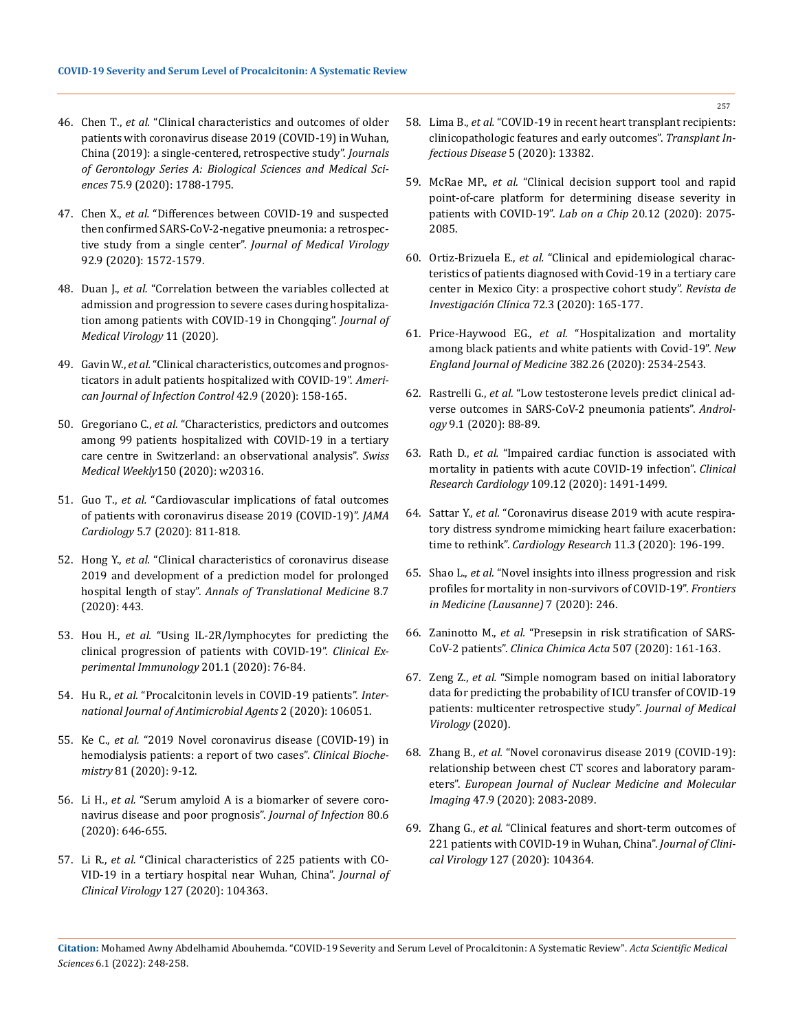- 46. Chen T., *et al.* ["Clinical characteristics and outcomes of older](https://pubmed.ncbi.nlm.nih.gov/32279081/)  [patients with coronavirus disease 2019 \(COVID-19\) in Wuhan,](https://pubmed.ncbi.nlm.nih.gov/32279081/)  [China \(2019\): a single-centered, retrospective study".](https://pubmed.ncbi.nlm.nih.gov/32279081/) *Journals [of Gerontology Series A: Biological Sciences and Medical Sci](https://pubmed.ncbi.nlm.nih.gov/32279081/)ences* [75.9 \(2020\): 1788-1795.](https://pubmed.ncbi.nlm.nih.gov/32279081/)
- 47. Chen X., *et al.* ["Differences between COVID-19 and suspected](https://pubmed.ncbi.nlm.nih.gov/32237148/)  [then confirmed SARS-CoV-2-negative pneumonia: a retrospec](https://pubmed.ncbi.nlm.nih.gov/32237148/)tive study from a single center". *[Journal of Medical Virology](https://pubmed.ncbi.nlm.nih.gov/32237148/)*  [92.9 \(2020\): 1572-1579.](https://pubmed.ncbi.nlm.nih.gov/32237148/)
- 48. Duan J., *et al.* ["Correlation between the variables collected at](https://pubmed.ncbi.nlm.nih.gov/32470186/)  [admission and progression to severe cases during hospitaliza](https://pubmed.ncbi.nlm.nih.gov/32470186/)[tion among patients with COVID-19 in Chongqing".](https://pubmed.ncbi.nlm.nih.gov/32470186/) *Journal of [Medical Virology](https://pubmed.ncbi.nlm.nih.gov/32470186/)* 11 (2020).
- 49. Gavin W., *et al.* ["Clinical characteristics, outcomes and prognos](https://pubmed.ncbi.nlm.nih.gov/32652252/)[ticators in adult patients hospitalized with COVID-19".](https://pubmed.ncbi.nlm.nih.gov/32652252/) *Ameri[can Journal of Infection Control](https://pubmed.ncbi.nlm.nih.gov/32652252/)* 42.9 (2020): 158-165.
- 50. Gregoriano C., *et al.* ["Characteristics, predictors and outcomes](https://pubmed.ncbi.nlm.nih.gov/32668007/)  [among 99 patients hospitalized with COVID-19 in a tertiary](https://pubmed.ncbi.nlm.nih.gov/32668007/)  [care centre in Switzerland: an observational analysis".](https://pubmed.ncbi.nlm.nih.gov/32668007/) *Swiss Medical Weekly*[150 \(2020\): w20316.](https://pubmed.ncbi.nlm.nih.gov/32668007/)
- 51. Guo T., *et al.* ["Cardiovascular implications of fatal outcomes](https://pubmed.ncbi.nlm.nih.gov/32219356/)  [of patients with coronavirus disease 2019 \(COVID-19\)".](https://pubmed.ncbi.nlm.nih.gov/32219356/) *JAMA Cardiology* [5.7 \(2020\): 811-818.](https://pubmed.ncbi.nlm.nih.gov/32219356/)
- 52. Hong Y., *et al.* ["Clinical characteristics of coronavirus disease](https://atm.amegroups.com/article/view/39783/html)  [2019 and development of a prediction model for prolonged](https://atm.amegroups.com/article/view/39783/html)  hospital length of stay". *[Annals of Translational Medicine](https://atm.amegroups.com/article/view/39783/html)* 8.7 [\(2020\): 443.](https://atm.amegroups.com/article/view/39783/html)
- 53. Hou H., *et al.* ["Using IL-2R/lymphocytes for predicting the](https://pubmed.ncbi.nlm.nih.gov/32365221/)  [clinical progression of patients with COVID-19".](https://pubmed.ncbi.nlm.nih.gov/32365221/) *Clinical Ex[perimental Immunology](https://pubmed.ncbi.nlm.nih.gov/32365221/)* 201.1 (2020): 76-84.
- 54. Hu R., *et al.* ["Procalcitonin levels in COVID-19 patients".](https://www.ncbi.nlm.nih.gov/pmc/articles/PMC7286278/) *Inter[national Journal of Antimicrobial Agents](https://www.ncbi.nlm.nih.gov/pmc/articles/PMC7286278/)* 2 (2020): 106051.
- 55. Ke C., *et al.* ["2019 Novel coronavirus disease \(COVID-19\) in](https://www.ncbi.nlm.nih.gov/pmc/articles/PMC7191272/)  [hemodialysis patients: a report of two cases".](https://www.ncbi.nlm.nih.gov/pmc/articles/PMC7191272/) *Clinical Biochemistry* [81 \(2020\): 9-12.](https://www.ncbi.nlm.nih.gov/pmc/articles/PMC7191272/)
- 56. Li H., *et al.* ["Serum amyloid A is a biomarker of severe coro](https://www.sciencedirect.com/science/article/pii/S0163445320301626)[navirus disease and poor prognosis".](https://www.sciencedirect.com/science/article/pii/S0163445320301626) *Journal of Infection* 80.6 [\(2020\): 646-655.](https://www.sciencedirect.com/science/article/pii/S0163445320301626)
- 57. Li R., *et al.* ["Clinical characteristics of 225 patients with CO-](https://pubmed.ncbi.nlm.nih.gov/32298988/)[VID-19 in a tertiary hospital near Wuhan, China".](https://pubmed.ncbi.nlm.nih.gov/32298988/) *Journal of Clinical Virology* [127 \(2020\): 104363.](https://pubmed.ncbi.nlm.nih.gov/32298988/)
- 58. Lima B., *et al.* ["COVID-19 in recent heart transplant recipients:](https://pubmed.ncbi.nlm.nih.gov/32583620/) [clinicopathologic features and early outcomes".](https://pubmed.ncbi.nlm.nih.gov/32583620/) *Transplant In[fectious Disease](https://pubmed.ncbi.nlm.nih.gov/32583620/)* 5 (2020): 13382.
- 59. McRae MP., *et al.* ["Clinical decision support tool and rapid](https://pubmed.ncbi.nlm.nih.gov/32490853/) [point-of-care platform for determining disease severity in](https://pubmed.ncbi.nlm.nih.gov/32490853/) [patients with COVID-19".](https://pubmed.ncbi.nlm.nih.gov/32490853/) *Lab on a Chip* 20.12 (2020): 2075- [2085.](https://pubmed.ncbi.nlm.nih.gov/32490853/)
- 60. Ortiz-Brizuela E., *et al.* ["Clinical and epidemiological charac](https://pubmed.ncbi.nlm.nih.gov/32584326/)[teristics of patients diagnosed with Covid-19 in a tertiary care](https://pubmed.ncbi.nlm.nih.gov/32584326/) [center in Mexico City: a prospective cohort study".](https://pubmed.ncbi.nlm.nih.gov/32584326/) *Revista de [Investigación Clínica](https://pubmed.ncbi.nlm.nih.gov/32584326/)* 72.3 (2020): 165-177.
- 61. Price-Haywood EG., *et al.* ["Hospitalization and mortality](https://www.nejm.org/doi/full/10.1056/NEJMsa2011686) [among black patients and white patients with Covid-19".](https://www.nejm.org/doi/full/10.1056/NEJMsa2011686) *New [England Journal of Medicine](https://www.nejm.org/doi/full/10.1056/NEJMsa2011686)* 382.26 (2020): 2534-2543.
- 62. Rastrelli G., *et al.* ["Low testosterone levels predict clinical ad](https://pubmed.ncbi.nlm.nih.gov/32436355/)[verse outcomes in SARS-CoV-2 pneumonia patients".](https://pubmed.ncbi.nlm.nih.gov/32436355/) *Andrology* [9.1 \(2020\): 88-89.](https://pubmed.ncbi.nlm.nih.gov/32436355/)
- 63. Rath D., *et al.* ["Impaired cardiac function is associated with](https://pubmed.ncbi.nlm.nih.gov/32537662/) [mortality in patients with acute COVID-19 infection".](https://pubmed.ncbi.nlm.nih.gov/32537662/) *Clinical Research Cardiology* [109.12 \(2020\): 1491-1499.](https://pubmed.ncbi.nlm.nih.gov/32537662/)
- 64. Sattar Y., *et al.* ["Coronavirus disease 2019 with acute respira](https://pubmed.ncbi.nlm.nih.gov/32494330/)[tory distress syndrome mimicking heart failure exacerbation:](https://pubmed.ncbi.nlm.nih.gov/32494330/) time to rethink". *[Cardiology Research](https://pubmed.ncbi.nlm.nih.gov/32494330/)* 11.3 (2020): 196-199.
- 65. Shao L., *et al.* ["Novel insights into illness progression and risk](https://www.ncbi.nlm.nih.gov/pmc/articles/PMC7256183/) [profiles for mortality in non-survivors of COVID-19".](https://www.ncbi.nlm.nih.gov/pmc/articles/PMC7256183/) *Frontiers [in Medicine \(Lausanne\)](https://www.ncbi.nlm.nih.gov/pmc/articles/PMC7256183/)* 7 (2020): 246.
- 66. Zaninotto M., *et al.* ["Presepsin in risk stratification of SARS-](https://pubmed.ncbi.nlm.nih.gov/32333860/)CoV-2 patients". *[Clinica Chimica Acta](https://pubmed.ncbi.nlm.nih.gov/32333860/)* 507 (2020): 161-163.
- 67. Zeng Z., *et al.* ["Simple nomogram based on initial laboratory](https://pubmed.ncbi.nlm.nih.gov/32603535/) [data for predicting the probability of ICU transfer of COVID-19](https://pubmed.ncbi.nlm.nih.gov/32603535/) [patients: multicenter retrospective study".](https://pubmed.ncbi.nlm.nih.gov/32603535/) *Journal of Medical [Virology](https://pubmed.ncbi.nlm.nih.gov/32603535/)* (2020).
- 68. Zhang B., *et al.* ["Novel coronavirus disease 2019 \(COVID-19\):](https://pubmed.ncbi.nlm.nih.gov/32399620/) [relationship between chest CT scores and laboratory param](https://pubmed.ncbi.nlm.nih.gov/32399620/)eters". *[European Journal of Nuclear Medicine and Molecular](https://pubmed.ncbi.nlm.nih.gov/32399620/) Imaging* [47.9 \(2020\): 2083-2089.](https://pubmed.ncbi.nlm.nih.gov/32399620/)
- 69. Zhang G., *et al.* ["Clinical features and short-term outcomes of](https://pubmed.ncbi.nlm.nih.gov/32311650/) [221 patients with COVID-19 in Wuhan, China".](https://pubmed.ncbi.nlm.nih.gov/32311650/) *Journal of Clinical Virology* [127 \(2020\): 104364.](https://pubmed.ncbi.nlm.nih.gov/32311650/)

**Citation:** Mohamed Awny Abdelhamid Abouhemda*.* "COVID-19 Severity and Serum Level of Procalcitonin: A Systematic Review". *Acta Scientific Medical Sciences* 6.1 (2022): 248-258.